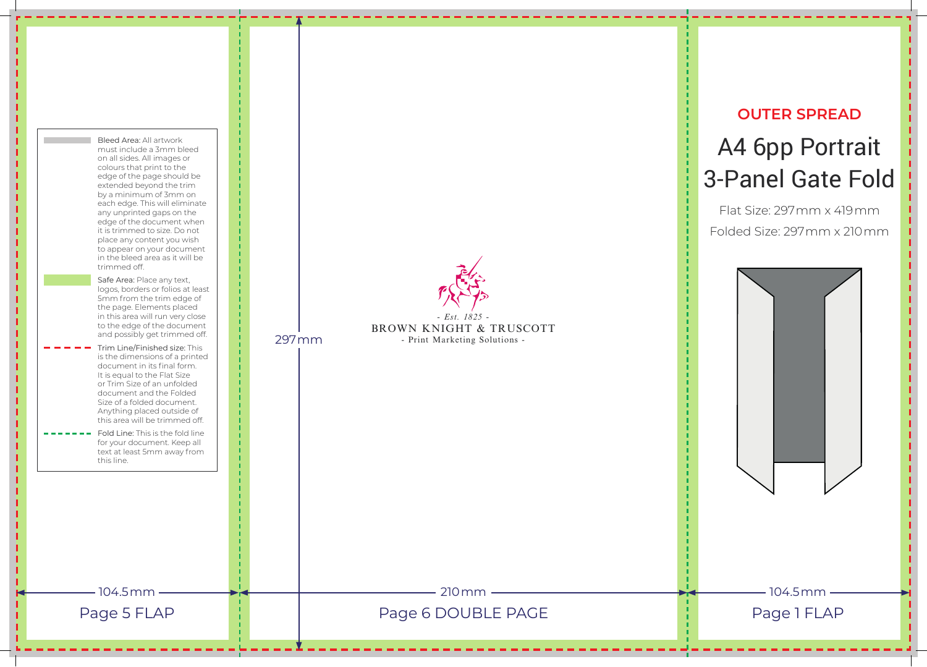## **OUTER SPREAD** A4 6pp Portrait 3-Panel Gate Fold

Flat Size: 297mm x 419mm Folded Size: 297mm x 210mm